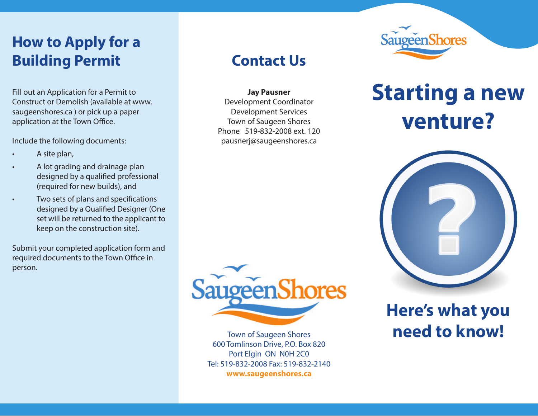#### **How to Apply for a Building Permit**

Fill out an Application for a Permit to Construct or Demolish (available at www. saugeenshores.ca ) or pick up a paper application at the Town Office.

Include the following documents:

- A site plan,
- A lot grading and drainage plan designed by a qualified professional (required for new builds), and
- Two sets of plans and specifications designed by a Qualified Designer (One set will be returned to the applicant to keep on the construction site).

Submit your completed application form and required documents to the Town Office in person.

#### **Contact Us**

**Jay Pausner** Development Coordinator Development Services Town of Saugeen Shores Phone 519-832-2008 ext. 120 pausnerj@saugeenshores.ca



Town of Saugeen Shores 600 Tomlinson Drive, P.O. Box 820 Port Elgin ON N0H 2C0 Tel: 519-832-2008 Fax: 519-832-2140 **www.saugeenshores.ca**



# **Starting a new venture?**



## **Here's what you need to know!**